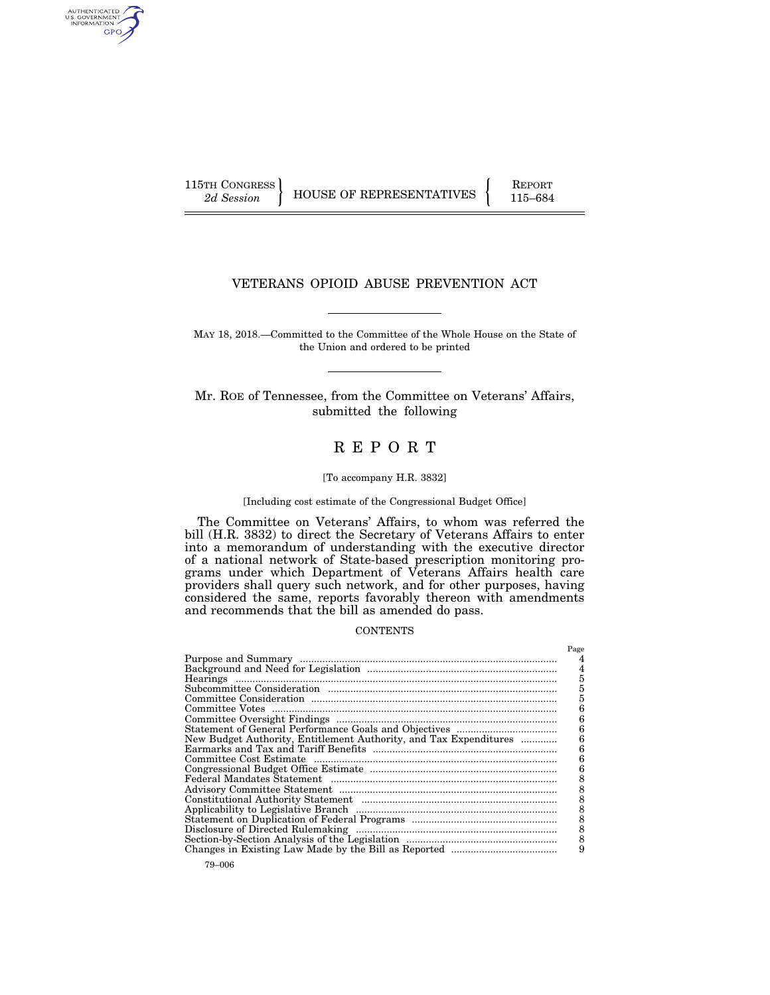AUTHENTICATED<br>U.S. GOVERNMENT<br>INFORMATION GPO

115TH CONGRESS HOUSE OF REPRESENTATIVES FEPORT 115–684

# VETERANS OPIOID ABUSE PREVENTION ACT

MAY 18, 2018.—Committed to the Committee of the Whole House on the State of the Union and ordered to be printed

Mr. ROE of Tennessee, from the Committee on Veterans' Affairs, submitted the following

# R E P O R T

#### [To accompany H.R. 3832]

## [Including cost estimate of the Congressional Budget Office]

The Committee on Veterans' Affairs, to whom was referred the bill (H.R. 3832) to direct the Secretary of Veterans Affairs to enter into a memorandum of understanding with the executive director of a national network of State-based prescription monitoring programs under which Department of Veterans Affairs health care providers shall query such network, and for other purposes, having considered the same, reports favorably thereon with amendments and recommends that the bill as amended do pass.

### **CONTENTS**

|                                                                   | Page |
|-------------------------------------------------------------------|------|
|                                                                   | 4    |
|                                                                   | 4    |
|                                                                   | 5    |
|                                                                   |      |
|                                                                   | 5    |
|                                                                   | 6    |
|                                                                   | 6    |
|                                                                   | 6    |
| New Budget Authority, Entitlement Authority, and Tax Expenditures | 6    |
|                                                                   | 6    |
|                                                                   | 6    |
|                                                                   | 6    |
|                                                                   | 8    |
|                                                                   |      |
|                                                                   | 8    |
|                                                                   | 8    |
|                                                                   | 8    |
|                                                                   | 8    |
|                                                                   |      |
|                                                                   | 9    |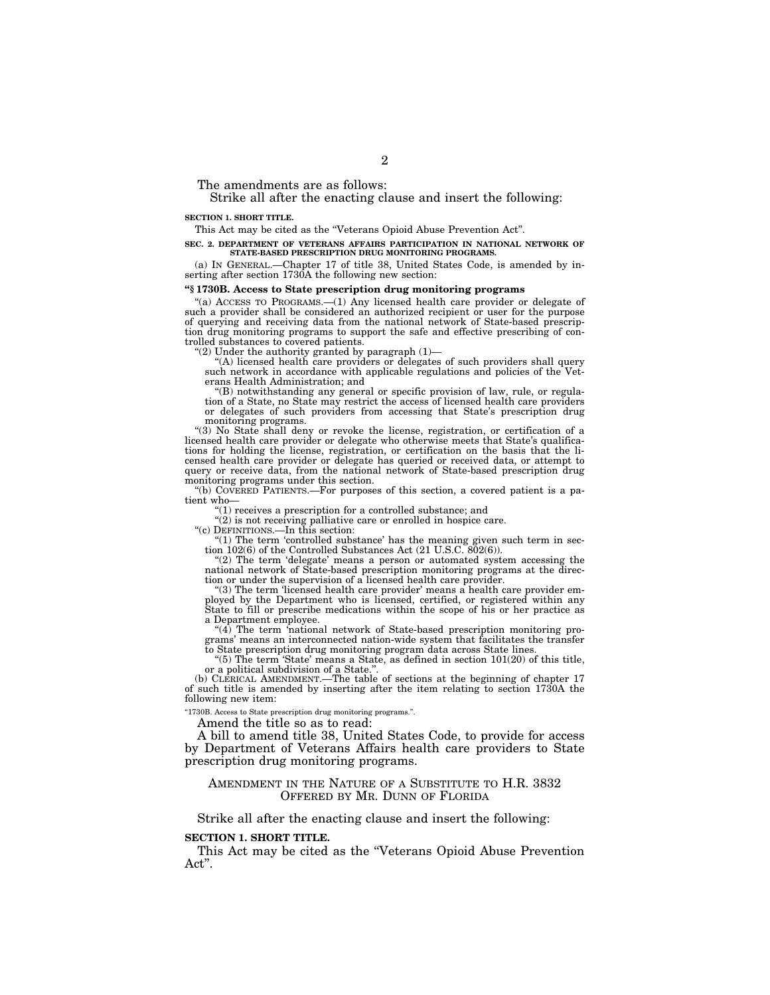The amendments are as follows:

Strike all after the enacting clause and insert the following:

#### **SECTION 1. SHORT TITLE.**

This Act may be cited as the ''Veterans Opioid Abuse Prevention Act''.

#### **SEC. 2. DEPARTMENT OF VETERANS AFFAIRS PARTICIPATION IN NATIONAL NETWORK OF STATE-BASED PRESCRIPTION DRUG MONITORING PROGRAMS.**

(a) IN GENERAL.—Chapter 17 of title 38, United States Code, is amended by inserting after section 1730A the following new section:

### **''§ 1730B. Access to State prescription drug monitoring programs**

 $''(a)$  ACCESS TO PROGRAMS. $-(1)$  Any licensed health care provider or delegate of such a provider shall be considered an authorized recipient or user for the purpose of querying and receiving data from the national network of State-based prescription drug monitoring programs to support the safe and effective prescribing of controlled substances to covered patients.

''(2) Under the authority granted by paragraph (1)— ''(A) licensed health care providers or delegates of such providers shall query such network in accordance with applicable regulations and policies of the Veterans Health Administration; and

''(B) notwithstanding any general or specific provision of law, rule, or regula-tion of a State, no State may restrict the access of licensed health care providers or delegates of such providers from accessing that State's prescription drug monitoring programs.

''(3) No State shall deny or revoke the license, registration, or certification of a licensed health care provider or delegate who otherwise meets that State's qualifications for holding the license, registration, or certification on the basis that the licensed health care provider or delegate has queried or received data, or attempt to query or receive data, from the national network of State-based prescription drug monitoring programs under this section.

''(b) COVERED PATIENTS.—For purposes of this section, a covered patient is a patient who—

 $''(1)$  receives a prescription for a controlled substance; and

"(2) is not receiving palliative care or enrolled in hospice care.

''(c) DEFINITIONS.—In this section:

''(1) The term 'controlled substance' has the meaning given such term in sec-tion 102(6) of the Controlled Substances Act (21 U.S.C. 802(6)).

"(2) The term 'delegate' means a person or automated system accessing the national network of State-based prescription monitoring programs at the direction or under the supervision of a licensed health care provider.

''(3) The term 'licensed health care provider' means a health care provider employed by the Department who is licensed, certified, or registered within any State to fill or prescribe medications within the scope of his or her practice as a Department employee.

" $(4)$  The term 'national network of State-based prescription monitoring programs' means an interconnected nation-wide system that facilitates the transfer to State prescription drug monitoring program data across State lines.

"(5) The term 'State' means a State, as defined in section  $101(20)$  of this title, or a political subdivision of a State.'

(b) CLERICAL AMENDMENT.—The table of sections at the beginning of chapter 17 of such title is amended by inserting after the item relating to section 1730A the following new item:

''1730B. Access to State prescription drug monitoring programs.''.

Amend the title so as to read:

A bill to amend title 38, United States Code, to provide for access by Department of Veterans Affairs health care providers to State prescription drug monitoring programs.

## AMENDMENT IN THE NATURE OF A SUBSTITUTE TO H.R. 3832 OFFERED BY MR. DUNN OF FLORIDA

Strike all after the enacting clause and insert the following:

#### **SECTION 1. SHORT TITLE.**

This Act may be cited as the "Veterans Opioid Abuse Prevention Act''.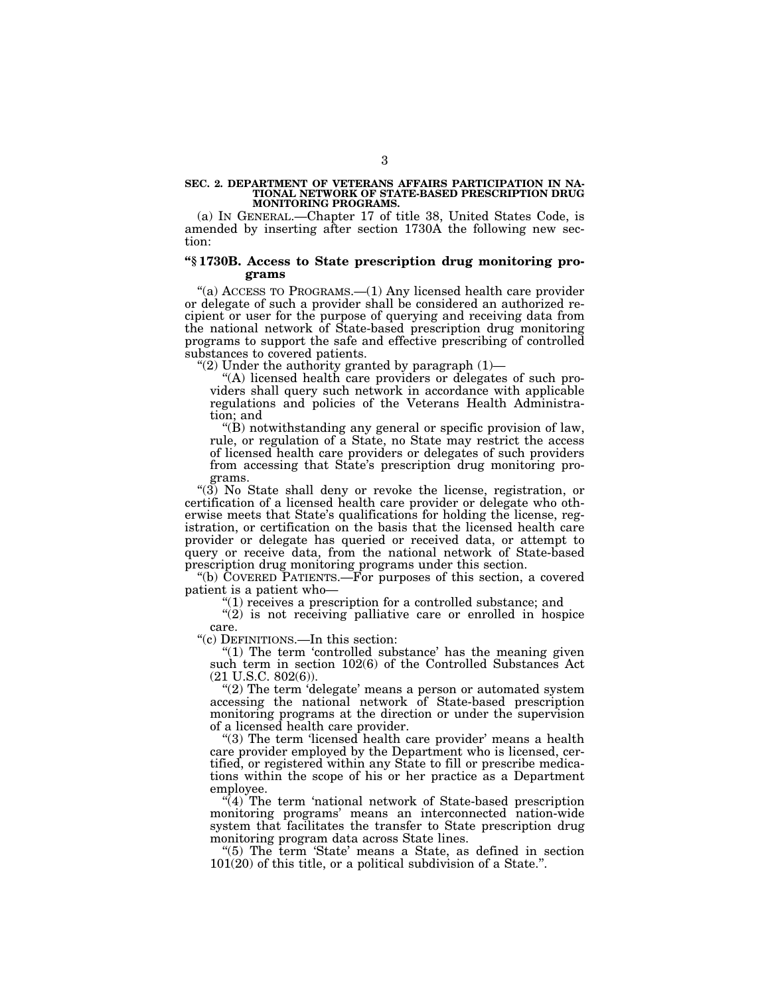# **SEC. 2. DEPARTMENT OF VETERANS AFFAIRS PARTICIPATION IN NA-TIONAL NETWORK OF STATE-BASED PRESCRIPTION DRUG MONITORING PROGRAMS.**

(a) IN GENERAL.—Chapter 17 of title 38, United States Code, is amended by inserting after section 1730A the following new section:

## **''§ 1730B. Access to State prescription drug monitoring programs**

"(a) ACCESS TO PROGRAMS.—(1) Any licensed health care provider or delegate of such a provider shall be considered an authorized recipient or user for the purpose of querying and receiving data from the national network of State-based prescription drug monitoring programs to support the safe and effective prescribing of controlled substances to covered patients.

"(2) Under the authority granted by paragraph  $(1)$ -

''(A) licensed health care providers or delegates of such providers shall query such network in accordance with applicable regulations and policies of the Veterans Health Administration; and

''(B) notwithstanding any general or specific provision of law, rule, or regulation of a State, no State may restrict the access of licensed health care providers or delegates of such providers from accessing that State's prescription drug monitoring programs.

''(3) No State shall deny or revoke the license, registration, or certification of a licensed health care provider or delegate who otherwise meets that State's qualifications for holding the license, registration, or certification on the basis that the licensed health care provider or delegate has queried or received data, or attempt to query or receive data, from the national network of State-based prescription drug monitoring programs under this section.

''(b) COVERED PATIENTS.—For purposes of this section, a covered patient is a patient who—

''(1) receives a prescription for a controlled substance; and

 $''(2)$  is not receiving palliative care or enrolled in hospice care.

''(c) DEFINITIONS.—In this section:

" $(1)$  The term 'controlled substance' has the meaning given such term in section 102(6) of the Controlled Substances Act (21 U.S.C. 802(6)).

"(2) The term 'delegate' means a person or automated system accessing the national network of State-based prescription monitoring programs at the direction or under the supervision of a licensed health care provider.

"(3) The term 'licensed health care provider' means a health care provider employed by the Department who is licensed, certified, or registered within any State to fill or prescribe medications within the scope of his or her practice as a Department employee.

 $\sqrt{\left(4\right)}$  The term 'national network of State-based prescription monitoring programs' means an interconnected nation-wide system that facilitates the transfer to State prescription drug monitoring program data across State lines.

''(5) The term 'State' means a State, as defined in section 101(20) of this title, or a political subdivision of a State.''.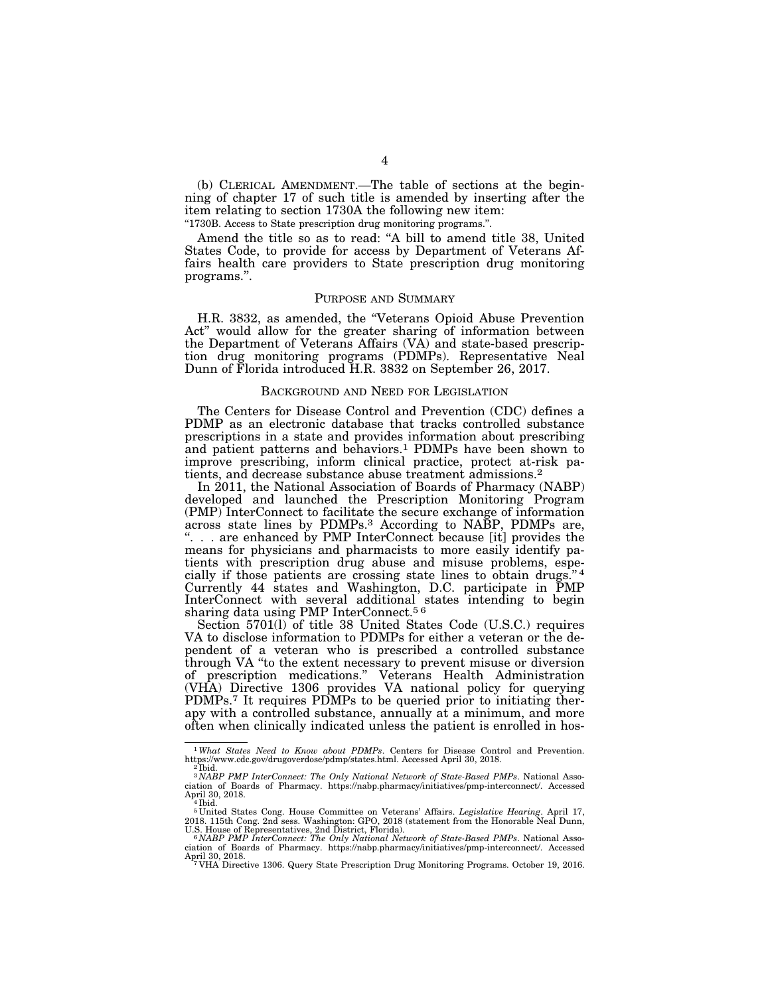(b) CLERICAL AMENDMENT.—The table of sections at the beginning of chapter 17 of such title is amended by inserting after the item relating to section 1730A the following new item: ''1730B. Access to State prescription drug monitoring programs.''.

Amend the title so as to read: ''A bill to amend title 38, United States Code, to provide for access by Department of Veterans Affairs health care providers to State prescription drug monitoring programs.''.

#### PURPOSE AND SUMMARY

H.R. 3832, as amended, the ''Veterans Opioid Abuse Prevention Act'' would allow for the greater sharing of information between the Department of Veterans Affairs (VA) and state-based prescription drug monitoring programs (PDMPs). Representative Neal Dunn of Florida introduced H.R. 3832 on September 26, 2017.

#### BACKGROUND AND NEED FOR LEGISLATION

The Centers for Disease Control and Prevention (CDC) defines a PDMP as an electronic database that tracks controlled substance prescriptions in a state and provides information about prescribing and patient patterns and behaviors.<sup>1</sup> PDMPs have been shown to improve prescribing, inform clinical practice, protect at-risk patients, and decrease substance abuse treatment admissions.2

In 2011, the National Association of Boards of Pharmacy (NABP) developed and launched the Prescription Monitoring Program (PMP) InterConnect to facilitate the secure exchange of information across state lines by PDMPs.3 According to NABP, PDMPs are, ". . . are enhanced by PMP InterConnect because [it] provides the means for physicians and pharmacists to more easily identify patients with prescription drug abuse and misuse problems, especially if those patients are crossing state lines to obtain drugs."<sup>4</sup> Currently 44 states and Washington, D.C. participate in PMP InterConnect with several additional states intending to begin sharing data using PMP InterConnect.5 6

Section 5701(l) of title 38 United States Code (U.S.C.) requires VA to disclose information to PDMPs for either a veteran or the dependent of a veteran who is prescribed a controlled substance through VA ''to the extent necessary to prevent misuse or diversion of prescription medications.'' Veterans Health Administration (VHA) Directive 1306 provides VA national policy for querying PDMPs.<sup>7</sup> It requires PDMPs to be queried prior to initiating therapy with a controlled substance, annually at a minimum, and more often when clinically indicated unless the patient is enrolled in hos-

 $^{\rm 1}$  What States Need to Know about PDMPs. Centers for Disease Control and Prevention. https://www.cdc.gov/drugoverdose/pdmp/states.html. Accessed April 30, 2018.  $^{\rm 2}$  Ibid.

<sup>3</sup> *NABP PMP InterConnect: The Only National Network of State-Based PMPs*. National Asso-ciation of Boards of Pharmacy. https://nabp.pharmacy/initiatives/pmp-interconnect/. Accessed April 30, 2018.<br><sup>4</sup> Ibid.

<sup>5</sup> United States Cong. House Committee on Veterans' Affairs. *Legislative Hearing*. April 17, 2018. 115th Cong. 2nd sess. Washington: GPO, 2018 (statement from the Honorable Neal Dunn,<br>U.S. House of Representatives, 2nd District, Florida).<br>"MABP PMP InterConnect: The Only National Network of State-Based PMPs. Natio

ciation of Boards of Pharmacy. https://nabp.pharmacy/initiatives/pmp-interconnect/. Accessed<br>April 30, 2018.<br><sup>7</sup> VHA Directive 1306. Query State Prescription Drug Monitoring Programs. October 19, 2016.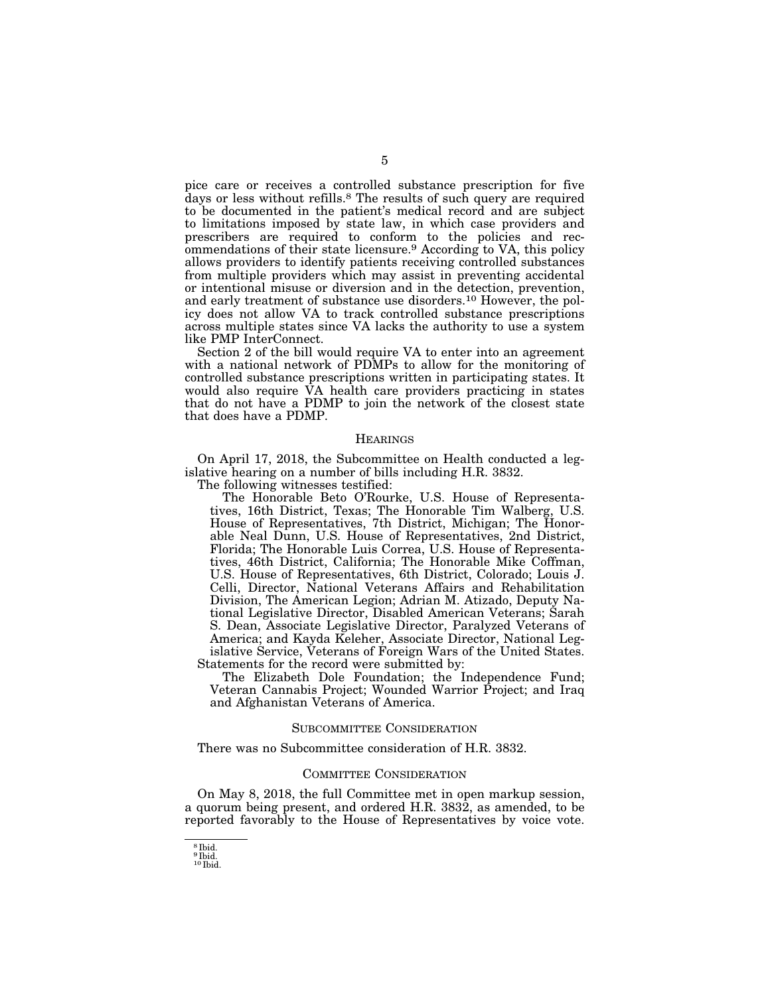pice care or receives a controlled substance prescription for five days or less without refills.8 The results of such query are required to be documented in the patient's medical record and are subject to limitations imposed by state law, in which case providers and prescribers are required to conform to the policies and recommendations of their state licensure.9 According to VA, this policy allows providers to identify patients receiving controlled substances from multiple providers which may assist in preventing accidental or intentional misuse or diversion and in the detection, prevention, and early treatment of substance use disorders.10 However, the policy does not allow VA to track controlled substance prescriptions across multiple states since VA lacks the authority to use a system like PMP InterConnect.

Section 2 of the bill would require VA to enter into an agreement with a national network of PDMPs to allow for the monitoring of controlled substance prescriptions written in participating states. It would also require VA health care providers practicing in states that do not have a PDMP to join the network of the closest state that does have a PDMP.

#### **HEARINGS**

On April 17, 2018, the Subcommittee on Health conducted a legislative hearing on a number of bills including H.R. 3832. The following witnesses testified:

The Honorable Beto O'Rourke, U.S. House of Representatives, 16th District, Texas; The Honorable Tim Walberg, U.S. House of Representatives, 7th District, Michigan; The Honorable Neal Dunn, U.S. House of Representatives, 2nd District, Florida; The Honorable Luis Correa, U.S. House of Representatives, 46th District, California; The Honorable Mike Coffman, U.S. House of Representatives, 6th District, Colorado; Louis J. Celli, Director, National Veterans Affairs and Rehabilitation Division, The American Legion; Adrian M. Atizado, Deputy National Legislative Director, Disabled American Veterans; Sarah S. Dean, Associate Legislative Director, Paralyzed Veterans of America; and Kayda Keleher, Associate Director, National Legislative Service, Veterans of Foreign Wars of the United States. Statements for the record were submitted by:

The Elizabeth Dole Foundation; the Independence Fund; Veteran Cannabis Project; Wounded Warrior Project; and Iraq and Afghanistan Veterans of America.

#### SUBCOMMITTEE CONSIDERATION

There was no Subcommittee consideration of H.R. 3832.

## COMMITTEE CONSIDERATION

On May 8, 2018, the full Committee met in open markup session, a quorum being present, and ordered H.R. 3832, as amended, to be reported favorably to the House of Representatives by voice vote.

<sup>8</sup> Ibid. 9 Ibid.

<sup>10</sup> Ibid.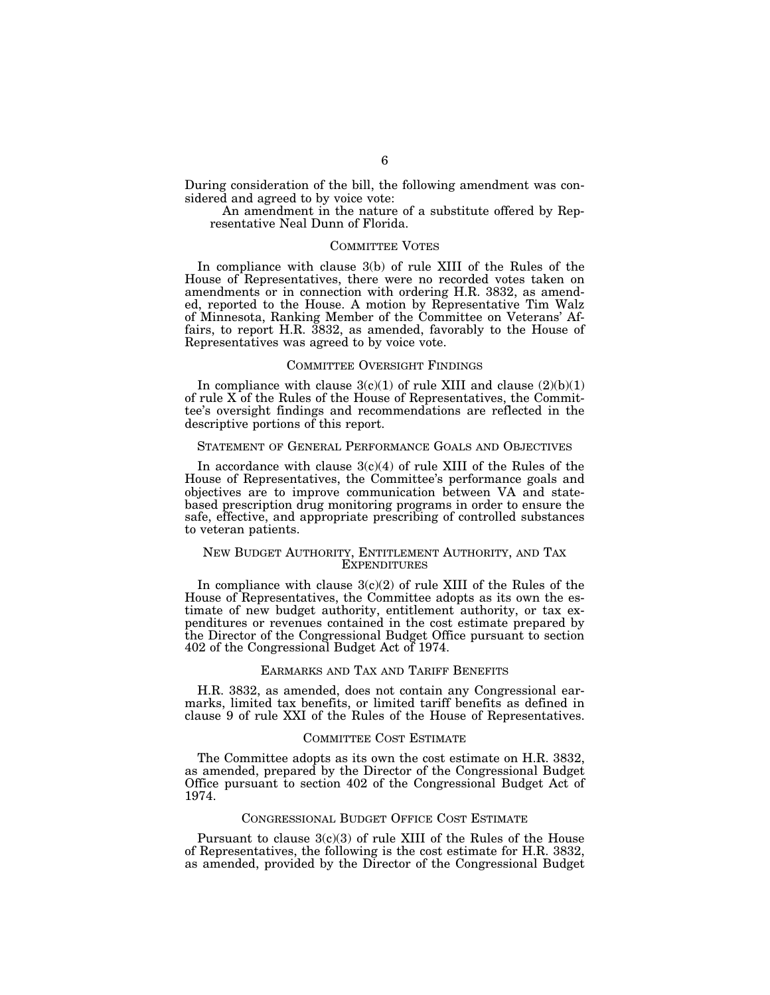During consideration of the bill, the following amendment was considered and agreed to by voice vote:

An amendment in the nature of a substitute offered by Representative Neal Dunn of Florida.

#### COMMITTEE VOTES

In compliance with clause 3(b) of rule XIII of the Rules of the House of Representatives, there were no recorded votes taken on amendments or in connection with ordering H.R. 3832, as amended, reported to the House. A motion by Representative Tim Walz of Minnesota, Ranking Member of the Committee on Veterans' Affairs, to report H.R. 3832, as amended, favorably to the House of Representatives was agreed to by voice vote.

## COMMITTEE OVERSIGHT FINDINGS

In compliance with clause  $3(c)(1)$  of rule XIII and clause  $(2)(b)(1)$ of rule X of the Rules of the House of Representatives, the Committee's oversight findings and recommendations are reflected in the descriptive portions of this report.

#### STATEMENT OF GENERAL PERFORMANCE GOALS AND OBJECTIVES

In accordance with clause  $3(c)(4)$  of rule XIII of the Rules of the House of Representatives, the Committee's performance goals and objectives are to improve communication between VA and statebased prescription drug monitoring programs in order to ensure the safe, effective, and appropriate prescribing of controlled substances to veteran patients.

## NEW BUDGET AUTHORITY, ENTITLEMENT AUTHORITY, AND TAX EXPENDITURES

In compliance with clause  $3(c)(2)$  of rule XIII of the Rules of the House of Representatives, the Committee adopts as its own the estimate of new budget authority, entitlement authority, or tax expenditures or revenues contained in the cost estimate prepared by the Director of the Congressional Budget Office pursuant to section 402 of the Congressional Budget Act of 1974.

#### EARMARKS AND TAX AND TARIFF BENEFITS

H.R. 3832, as amended, does not contain any Congressional earmarks, limited tax benefits, or limited tariff benefits as defined in clause 9 of rule XXI of the Rules of the House of Representatives.

### COMMITTEE COST ESTIMATE

The Committee adopts as its own the cost estimate on H.R. 3832, as amended, prepared by the Director of the Congressional Budget Office pursuant to section 402 of the Congressional Budget Act of 1974.

### CONGRESSIONAL BUDGET OFFICE COST ESTIMATE

Pursuant to clause  $3(c)(3)$  of rule XIII of the Rules of the House of Representatives, the following is the cost estimate for H.R. 3832, as amended, provided by the Director of the Congressional Budget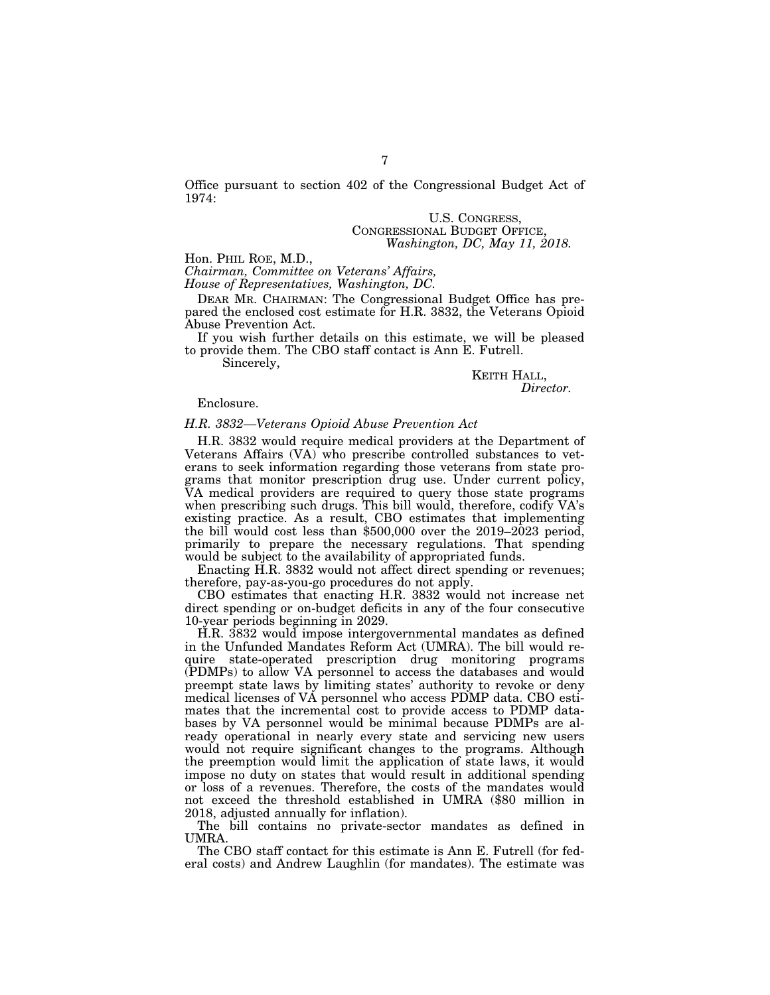Office pursuant to section 402 of the Congressional Budget Act of 1974:

### U.S. CONGRESS, CONGRESSIONAL BUDGET OFFICE, *Washington, DC, May 11, 2018.*

Hon. PHIL ROE, M.D.,

*Chairman, Committee on Veterans' Affairs,* 

*House of Representatives, Washington, DC.* 

DEAR MR. CHAIRMAN: The Congressional Budget Office has prepared the enclosed cost estimate for H.R. 3832, the Veterans Opioid Abuse Prevention Act.

If you wish further details on this estimate, we will be pleased to provide them. The CBO staff contact is Ann E. Futrell.

Sincerely,

KEITH HALL, *Director.* 

#### Enclosure.

## *H.R. 3832—Veterans Opioid Abuse Prevention Act*

H.R. 3832 would require medical providers at the Department of Veterans Affairs (VA) who prescribe controlled substances to veterans to seek information regarding those veterans from state programs that monitor prescription drug use. Under current policy, VA medical providers are required to query those state programs when prescribing such drugs. This bill would, therefore, codify VA's existing practice. As a result, CBO estimates that implementing the bill would cost less than \$500,000 over the  $2019-2023$  period, primarily to prepare the necessary regulations. That spending would be subject to the availability of appropriated funds.

Enacting H.R. 3832 would not affect direct spending or revenues; therefore, pay-as-you-go procedures do not apply.

CBO estimates that enacting H.R. 3832 would not increase net direct spending or on-budget deficits in any of the four consecutive 10-year periods beginning in 2029.

H.R. 3832 would impose intergovernmental mandates as defined in the Unfunded Mandates Reform Act (UMRA). The bill would require state-operated prescription drug monitoring programs (PDMPs) to allow VA personnel to access the databases and would preempt state laws by limiting states' authority to revoke or deny medical licenses of VA personnel who access PDMP data. CBO estimates that the incremental cost to provide access to PDMP databases by VA personnel would be minimal because PDMPs are already operational in nearly every state and servicing new users would not require significant changes to the programs. Although the preemption would limit the application of state laws, it would impose no duty on states that would result in additional spending or loss of a revenues. Therefore, the costs of the mandates would not exceed the threshold established in UMRA (\$80 million in 2018, adjusted annually for inflation).

The bill contains no private-sector mandates as defined in UMRA.

The CBO staff contact for this estimate is Ann E. Futrell (for federal costs) and Andrew Laughlin (for mandates). The estimate was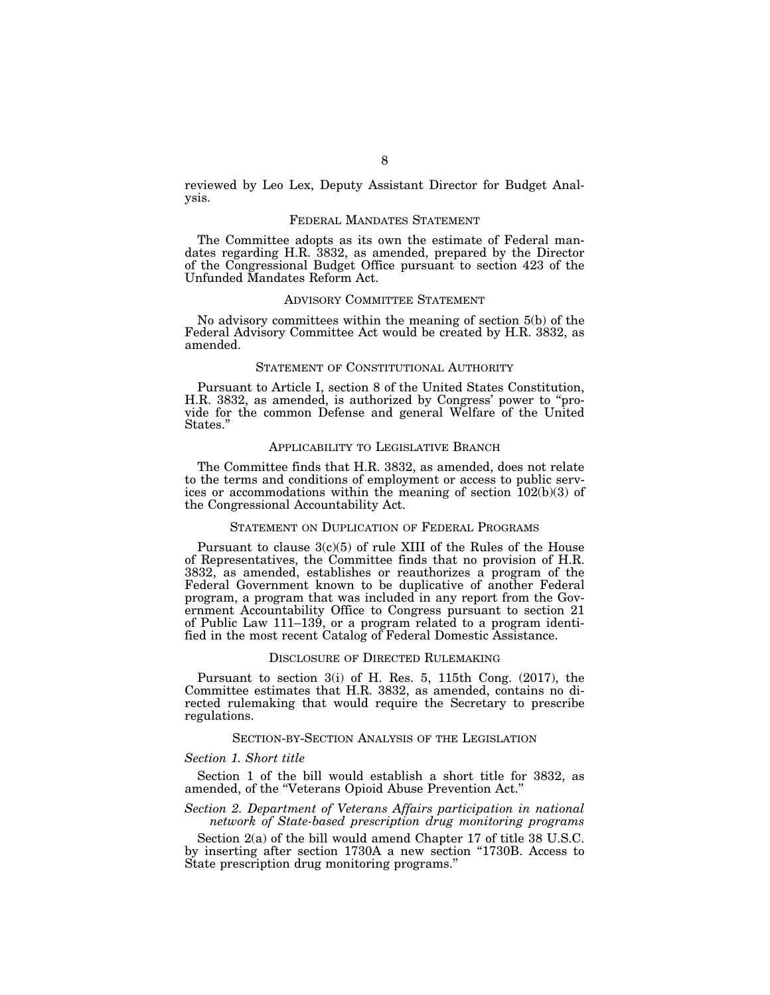reviewed by Leo Lex, Deputy Assistant Director for Budget Analysis.

## FEDERAL MANDATES STATEMENT

The Committee adopts as its own the estimate of Federal mandates regarding H.R. 3832, as amended, prepared by the Director of the Congressional Budget Office pursuant to section 423 of the Unfunded Mandates Reform Act.

## ADVISORY COMMITTEE STATEMENT

No advisory committees within the meaning of section 5(b) of the Federal Advisory Committee Act would be created by H.R. 3832, as amended.

#### STATEMENT OF CONSTITUTIONAL AUTHORITY

Pursuant to Article I, section 8 of the United States Constitution, H.R. 3832, as amended, is authorized by Congress' power to ''provide for the common Defense and general Welfare of the United States.''

# APPLICABILITY TO LEGISLATIVE BRANCH

The Committee finds that H.R. 3832, as amended, does not relate to the terms and conditions of employment or access to public services or accommodations within the meaning of section 102(b)(3) of the Congressional Accountability Act.

#### STATEMENT ON DUPLICATION OF FEDERAL PROGRAMS

Pursuant to clause  $3(c)(5)$  of rule XIII of the Rules of the House of Representatives, the Committee finds that no provision of H.R. 3832, as amended, establishes or reauthorizes a program of the Federal Government known to be duplicative of another Federal program, a program that was included in any report from the Government Accountability Office to Congress pursuant to section 21 of Public Law 111–139, or a program related to a program identified in the most recent Catalog of Federal Domestic Assistance.

#### DISCLOSURE OF DIRECTED RULEMAKING

Pursuant to section 3(i) of H. Res. 5, 115th Cong. (2017), the Committee estimates that H.R. 3832, as amended, contains no directed rulemaking that would require the Secretary to prescribe regulations.

# SECTION-BY-SECTION ANALYSIS OF THE LEGISLATION

#### *Section 1. Short title*

Section 1 of the bill would establish a short title for 3832, as amended, of the ''Veterans Opioid Abuse Prevention Act.''

### *Section 2. Department of Veterans Affairs participation in national network of State-based prescription drug monitoring programs*

Section 2(a) of the bill would amend Chapter 17 of title 38 U.S.C. by inserting after section 1730A a new section "1730B. Access to State prescription drug monitoring programs.''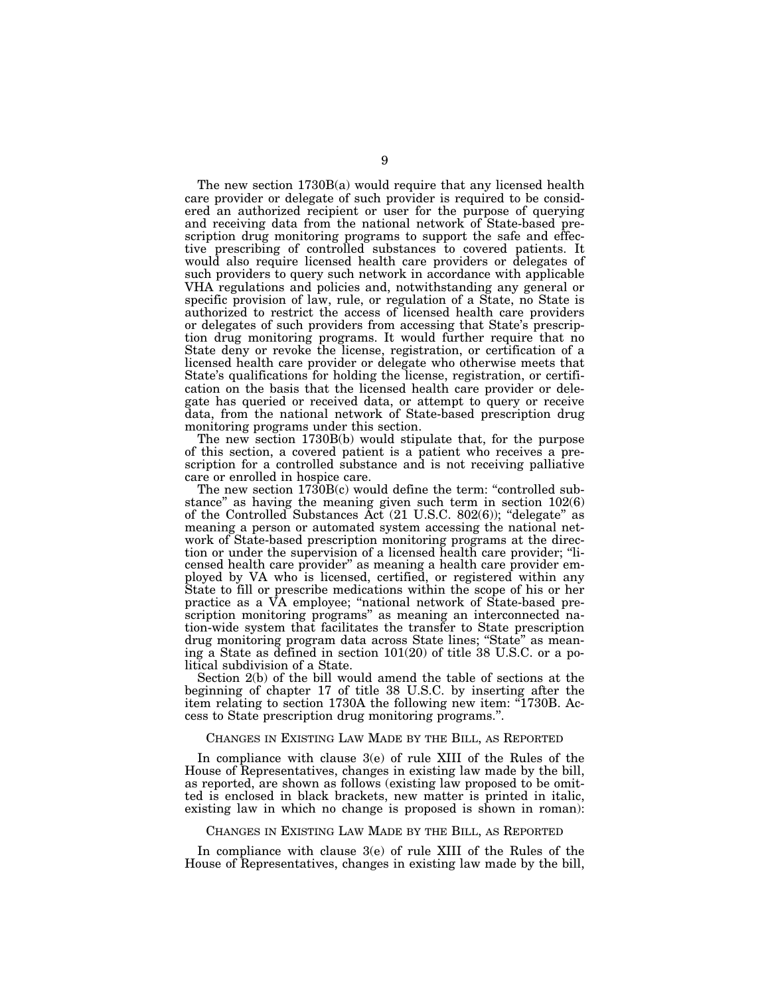The new section 1730B(a) would require that any licensed health care provider or delegate of such provider is required to be considered an authorized recipient or user for the purpose of querying and receiving data from the national network of State-based prescription drug monitoring programs to support the safe and effective prescribing of controlled substances to covered patients. It would also require licensed health care providers or delegates of such providers to query such network in accordance with applicable VHA regulations and policies and, notwithstanding any general or specific provision of law, rule, or regulation of a State, no State is authorized to restrict the access of licensed health care providers or delegates of such providers from accessing that State's prescription drug monitoring programs. It would further require that no State deny or revoke the license, registration, or certification of a licensed health care provider or delegate who otherwise meets that State's qualifications for holding the license, registration, or certification on the basis that the licensed health care provider or delegate has queried or received data, or attempt to query or receive data, from the national network of State-based prescription drug monitoring programs under this section.

The new section 1730B(b) would stipulate that, for the purpose of this section, a covered patient is a patient who receives a prescription for a controlled substance and is not receiving palliative care or enrolled in hospice care.

The new section 1730B(c) would define the term: "controlled substance" as having the meaning given such term in section  $102(6)$ of the Controlled Substances Act (21 U.S.C. 802(6)); ''delegate'' as meaning a person or automated system accessing the national network of State-based prescription monitoring programs at the direction or under the supervision of a licensed health care provider; ''licensed health care provider'' as meaning a health care provider employed by VA who is licensed, certified, or registered within any State to fill or prescribe medications within the scope of his or her practice as a VA employee; ''national network of State-based prescription monitoring programs'' as meaning an interconnected nation-wide system that facilitates the transfer to State prescription drug monitoring program data across State lines; ''State'' as meaning a State as defined in section 101(20) of title 38 U.S.C. or a political subdivision of a State.

Section 2(b) of the bill would amend the table of sections at the beginning of chapter 17 of title 38 U.S.C. by inserting after the item relating to section 1730A the following new item: "1730B. Access to State prescription drug monitoring programs.''.

#### CHANGES IN EXISTING LAW MADE BY THE BILL, AS REPORTED

In compliance with clause 3(e) of rule XIII of the Rules of the House of Representatives, changes in existing law made by the bill, as reported, are shown as follows (existing law proposed to be omitted is enclosed in black brackets, new matter is printed in italic, existing law in which no change is proposed is shown in roman):

#### CHANGES IN EXISTING LAW MADE BY THE BILL, AS REPORTED

In compliance with clause 3(e) of rule XIII of the Rules of the House of Representatives, changes in existing law made by the bill,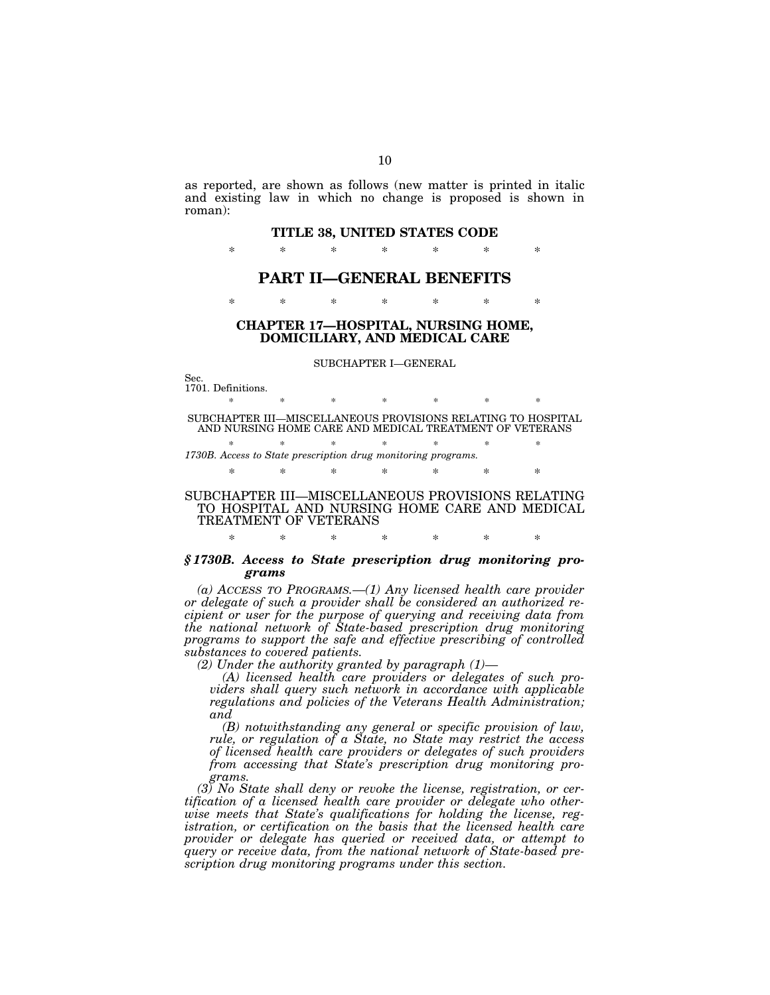as reported, are shown as follows (new matter is printed in italic and existing law in which no change is proposed is shown in roman):

#### **TITLE 38, UNITED STATES CODE**

\* \* \* \* \* \* \*

# **PART II—GENERAL BENEFITS**

\* \* \* \* \* \* \*

# **CHAPTER 17—HOSPITAL, NURSING HOME, DOMICILIARY, AND MEDICAL CARE**

#### SUBCHAPTER I—GENERAL

Sec. 1701. Definitions.

\* \* \* \* \* \* \* \* SUBCHAPTER III—MISCELLANEOUS PROVISIONS RELATING TO HOSPITAL AND NURSING HOME CARE AND MEDICAL TREATMENT OF VETERANS

\* \* \* \* \* \* \* *1730B. Access to State prescription drug monitoring programs.* 

\* \* \* \* \* \* \*

## SUBCHAPTER III—MISCELLANEOUS PROVISIONS RELATING TO HOSPITAL AND NURSING HOME CARE AND MEDICAL TREATMENT OF VETERANS

\* \* \* \* \* \* \*

## *§ 1730B. Access to State prescription drug monitoring programs*

*(a) ACCESS TO PROGRAMS.—(1) Any licensed health care provider or delegate of such a provider shall be considered an authorized recipient or user for the purpose of querying and receiving data from the national network of State-based prescription drug monitoring programs to support the safe and effective prescribing of controlled substances to covered patients.* 

*(2) Under the authority granted by paragraph (1)—* 

*(A) licensed health care providers or delegates of such providers shall query such network in accordance with applicable regulations and policies of the Veterans Health Administration; and* 

*(B) notwithstanding any general or specific provision of law, rule, or regulation of a State, no State may restrict the access of licensed health care providers or delegates of such providers from accessing that State's prescription drug monitoring programs.* 

*(3) No State shall deny or revoke the license, registration, or certification of a licensed health care provider or delegate who otherwise meets that State's qualifications for holding the license, registration, or certification on the basis that the licensed health care provider or delegate has queried or received data, or attempt to query or receive data, from the national network of State-based prescription drug monitoring programs under this section.*